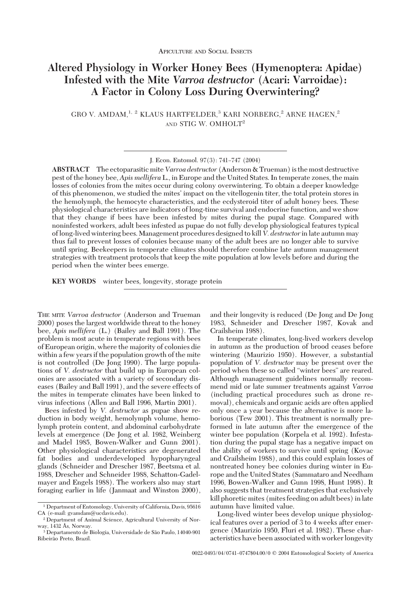# **Altered Physiology in Worker Honey Bees (Hymenoptera: Apidae) Infested with the Mite** *Varroa destructor* **(Acari: Varroidae): A Factor in Colony Loss During Overwintering?**

GRO V. AMDAM,<sup>1, 2</sup> KLAUS HARTFELDER,<sup>3</sup> KARI NORBERG,<sup>2</sup> ARNE HAGEN,<sup>2</sup> AND STIG W. OMHOLT<sup>2</sup>

ABSTRACT The ectoparasitic mite Varroa destructor (Anderson & Trueman) is the most destructive pest of the honey bee, *Apis mellifera* L., in Europe and the United States. In temperate zones, the main losses of colonies from the mites occur during colony overwintering. To obtain a deeper knowledge of this phenomenon, we studied the mites' impact on the vitellogenin titer, the total protein stores in the hemolymph, the hemocyte characteristics, and the ecdysteroid titer of adult honey bees. These physiological characteristics are indicators of long-time survival and endocrine function, and we show that they change if bees have been infested by mites during the pupal stage. Compared with noninfested workers, adult bees infested as pupae do not fully develop physiological features typical of long-lived wintering bees. Management procedures designed to kill *V. destructor* in late autumn may thus fail to prevent losses of colonies because many of the adult bees are no longer able to survive until spring. Beekeepers in temperate climates should therefore combine late autumn management strategies with treatment protocols that keep the mite population at low levels before and during the period when the winter bees emerge.

**KEY WORDS** winter bees, longevity, storage protein

THE MITE *Varroa destructor* (Anderson and Trueman 2000) poses the largest worldwide threat to the honey bee, *Apis mellifera* (L.) (Bailey and Ball 1991). The problem is most acute in temperate regions with bees of European origin, where the majority of colonies die within a few years if the population growth of the mite is not controlled (De Jong 1990). The large populations of *V. destructor* that build up in European colonies are associated with a variety of secondary diseases (Bailey and Ball 1991), and the severe effects of the mites in temperate climates have been linked to virus infections (Allen and Ball 1996, Martin 2001).

Bees infested by *V. destructor* as pupae show reduction in body weight, hemolymph volume, hemolymph protein content, and abdominal carbohydrate levels at emergence (De Jong et al. 1982, Weinberg and Madel 1985, Bowen-Walker and Gunn 2001). Other physiological characteristics are degenerated fat bodies and underdeveloped hypopharyngeal glands (Schneider and Drescher 1987, Beetsma et al. 1988, Drescher and Schneider 1988, Schatton-Gadelmayer and Engels 1988). The workers also may start foraging earlier in life (Janmaat and Winston 2000),

and their longevity is reduced (De Jong and De Jong 1983, Schneider and Drescher 1987, Kovak and Crailsheim 1988).

In temperate climates, long-lived workers develop in autumn as the production of brood ceases before wintering (Maurizio 1950). However, a substantial population of *V. destructor* may be present over the period when these so called "winter bees" are reared. Although management guidelines normally recommend mid or late summer treatments against *Varroa* (including practical procedures such as drone removal), chemicals and organic acids are often applied only once a year because the alternative is more laborious (Tew 2001). This treatment is normally preformed in late autumn after the emergence of the winter bee population (Korpela et al. 1992). Infestation during the pupal stage has a negative impact on the ability of workers to survive until spring (Kovac and Crailsheim 1988), and this could explain losses of nontreated honey bee colonies during winter in Europe and the United States (Sammataro and Needham 1996, Bowen-Walker and Gunn 1998, Hunt 1998). It also suggests that treatment strategies that exclusively kill phoretic mites (mites feeding on adult bees) in late autumn have limited value.

Long-lived winter bees develop unique physiological features over a period of 3 to 4 weeks after emergence (Maurizio 1950, Fluri et al. 1982). These characteristics have been associated with worker longevity

J. Econ. Entomol. 97(3): 741-747 (2004)

<sup>1</sup> Department of Entomology, University of California, Davis, 95616 CA (e-mail: gvamdam@ucdavis.edu).

<sup>2</sup> Department of Animal Science, Agricultural University of Norway, 1432 Ås, Norway.

<sup>3&</sup>lt;br>3 Departamento de Biologia, Universidade de São Paulo, 14040-901 Ribeirão Preto, Brazil.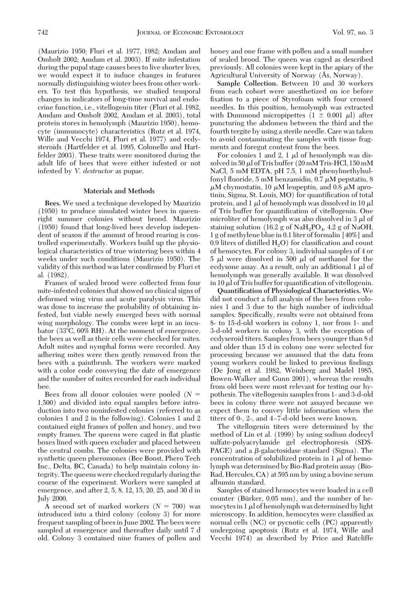(Maurizio 1950; Fluri et al. 1977, 1982; Amdam and Omholt 2002; Amdam et al. 2003). If mite infestation during the pupal stage causes bees to live shorter lives, we would expect it to induce changes in features normally distinguishing winter bees from other workers. To test this hypothesis, we studied temporal changes in indicators of long-time survival and endocrine function, i.e., vitellogenin titer (Fluri et al. 1982, Amdam and Omholt 2002, Amdam et al. 2003), total protein stores in hemolymph (Maurizio 1950), hemocyte (immunocyte) characteristics (Rutz et al. 1974, Wille and Vecchi 1974, Fluri et al. 1977) and ecdysteroids (Hartfelder et al. 1995, Colonello and Hartfelder 2003). These traits were monitored during the adult life of bees that were either infested or not infested by *V. destructor* as pupae.

### **Materials and Methods**

**Bees.** We used a technique developed by Maurizio (1950) to produce simulated winter bees in queenright summer colonies without brood. Maurizio (1950) found that long-lived bees develop independent of season if the amount of brood rearing is controlled experimentally. Workers build up the physiological characteristics of true wintering bees within 4 weeks under such conditions (Maurizio 1950). The validity of this method was later confirmed by Fluri et al. (1982).

Frames of sealed brood were collected from four mite-infested colonies that showed no clinical signs of deformed wing virus and acute paralysis virus. This was done to increase the probability of obtaining infested, but viable newly emerged bees with normal wing morphology. The combs were kept in an incubator (33°C, 60% RH). At the moment of emergence, the bees as well as their cells were checked for mites. Adult mites and nymphal forms were recorded. Any adhering mites were then gently removed from the bees with a paintbrush. The workers were marked with a color code conveying the date of emergence and the number of mites recorded for each individual bee.

Bees from all donor colonies were pooled  $(N =$ 1,500) and divided into equal samples before introduction into two noninfested colonies (referred to as colonies 1 and 2 in the following). Colonies 1 and 2 contained eight frames of pollen and honey, and two empty frames. The queens were caged in flat plastic boxes lined with queen excluder and placed between the central combs. The colonies were provided with synthetic queen pheromones (Bee Boost, Phero Tech Inc., Delta, BC, Canada) to help maintain colony integrity. The queens were checked regularly during the course of the experiment. Workers were sampled at emergence, and after 2, 5, 8, 12, 15, 20, 25, and 30 d in July 2000.

A second set of marked workers  $(N = 700)$  was introduced into a third colony (colony 3) for more frequent sampling of bees in June 2002. The bees were sampled at emergence and thereafter daily until 7 d old. Colony 3 contained nine frames of pollen and honey and one frame with pollen and a small number of sealed brood. The queen was caged as described previously. All colonies were kept in the apiary of the Agricultural University of Norway (Ås, Norway).

**Sample Collection.** Between 10 and 30 workers from each cohort were anesthetized on ice before fixation to a piece of Styrofoam with four crossed needles. In this position, hemolymph was extracted with Dummond micropipettes  $(1 \pm 0.001 \mu l)$  after puncturing the abdomen between the third and the fourth tergite by using a sterile needle. Care was taken to avoid contaminating the samples with tissue fragments and foregut content from the bees.

For colonies 1 and 2, 1  $\mu$ l of hemolymph was dissolved in 50  $\mu$ l of Tris buffer (20 mM Tris-HCl, 150 mM NaCl, 5 mM EDTA, pH 7.5, 1 mM phenylmethylsulfonyl fluoride, 5 mM benzamidin, 0.7  $\mu$ M pepstatin, 8  $\mu$ M chymostatin, 10  $\mu$ M leupeptin, and 0.8  $\mu$ M aprotinin, Sigma, St. Louis, MO) for quantification of total protein, and  $1 \mu$  of hemolymph was dissolved in 10  $\mu$ of Tris buffer for quantification of vitellogenin. One microliter of hemolymph was also dissolved in 3  $\mu$  of staining solution (16.2 g of  $\text{NaH}_2\text{PO}_4$ , 4.2 g of NaOH, 1 g of methylene blue in 0.1 liter of formalin [40%] and 0.9 liters of distilled  $H_2O$ ) for classification and count of hemocytes. For colony 3, individual samples of 4 or  $5 \mu l$  were dissolved in  $500 \mu l$  of methanol for the ecdysone assay. As a result, only an additional  $1 \mu$  of hemolymph was generally available. It was dissolved in 10  $\mu$  of Tris buffer for quantification of vitellogenin.

**Quantification of Physiological Characteristics.** We did not conduct a full analysis of the bees from colonies 1 and 3 due to the high number of individual samples. Specifically, results were not obtained from 8- to 15-d-old workers in colony 1, nor from 1- and 3-d-old workers in colony 3, with the exception of ecdyseroid titers. Samples from bees younger than 8 d and older than 15 d in colony one were selected for processing because we assumed that the data from young workers could be linked to previous findings (De Jong et al. 1982, Weinberg and Madel 1985, Bowen-Walker and Gunn 2001), whereas the results from old bees were most relevant for testing our hypothesis. The vitellogenin samples from 1- and 3-d-old bees in colony three were not assayed because we expect them to convey little information when the titers of 0-, 2-, and  $4$ -7-d-old bees were known.

The vitellogenin titers were determined by the method of Lin et al. (1999) by using sodium dodecyl sulfate-polyacrylamide gel electrophoresis (SDS-PAGE) and a  $\beta$ -galactosidase standard (Sigma). The concentration of solubilized protein in  $1 \mu$  of hemolymph was determined by Bio-Rad protein assay (Bio-Rad, Hercules, CA) at 595 nm by using a bovine serum albumin standard.

Samples of stained hemocytes were loaded in a cell counter (Bürker,  $0.05$  mm), and the number of hemocytes in  $1 \mu$  of hemolymph was determined by light microscopy. In addition, hemocytes were classified as normal cells (NC) or pycnotic cells (PC) apparently undergoing apoptosis (Rutz et al. 1974, Wille and Vecchi 1974) as described by Price and Ratcliffe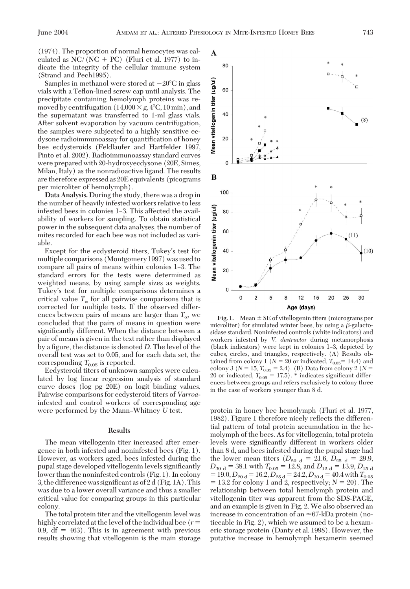(1974). The proportion of normal hemocytes was calculated as  $NC/(NC + PC)$  (Fluri et al. 1977) to indicate the integrity of the cellular immune system (Strand and Pech1995).

Samples in methanol were stored at  $-20^{\circ}$ C in glass vials with a Teßon-lined screw cap until analysis. The precipitate containing hemolymph proteins was removed by centrifugation  $(14,000 \times g, 4^{\circ}C, 10 \text{ min})$ , and the supernatant was transferred to 1-ml glass vials. After solvent evaporation by vacuum centrifugation, the samples were subjected to a highly sensitive ecdysone radioimmunoassay for quantification of honey bee ecdysteroids (Feldlaufer and Hartfelder 1997, Pinto et al. 2002). Radioimmunoassay standard curves were prepared with 20-hydroxyecdysone (20E, Simes, Milan, Italy) as the nonradioactive ligand. The results are therefore expressed as 20E equivalents (picograms per microliter of hemolymph).

**Data Analysis.** During the study, there was a drop in the number of heavily infested workers relative to less infested bees in colonies 1–3. This affected the availability of workers for sampling. To obtain statistical power in the subsequent data analyses, the number of mites recorded for each bee was not included as variable.

Except for the ecdysteroid titers, Tukey's test for multiple comparisons (Montgomery 1997) was used to compare all pairs of means within colonies 1–3. The standard errors for the tests were determined as weighted means, by using sample sizes as weights. Tukey's test for multiple comparisons determines a critical value  $T_{\alpha}$  for all pairwise comparisons that is corrected for multiple tests. If the observed differences between pairs of means are larger than  $T_{\alpha}$ , we concluded that the pairs of means in question were significantly different. When the distance between a pair of means is given in the text rather than displayed by a figure, the distance is denoted *D*. The level of the overall test was set to 0.05, and for each data set, the corresponding  $T_{0.05}$  is reported.

Ecdysteroid titers of unknown samples were calculated by log linear regression analysis of standard curve doses (log pg 20E) on logit binding values. Pairwise comparisons for ecdysteroid titers of *Varroa*infested and control workers of corresponding age were performed by the Mann–Whitney *U* test.

# **Results**

The mean vitellogenin titer increased after emergence in both infested and noninfested bees (Fig. 1). However, as workers aged, bees infested during the pupal stage developed vitellogenin levels significantly lower than the noninfested controls (Fig. 1). In colony 3, the difference was significant as of  $2 d$  (Fig. 1A). This was due to a lower overall variance and thus a smaller critical value for comparing groups in this particular colony.

The total protein titer and the vitellogenin level was highly correlated at the level of the individual bee  $(r=$  $0.9, df = 463$ . This is in agreement with previous results showing that vitellogenin is the main storage



**Fig. 1.** Mean  $\pm$  SE of vitellogenin titers (micrograms per microliter) for simulated winter bees, by using a  $\beta$ -galactosidase standard. Noninfested controls (white indicators) and workers infested by *V. destructor* during metamorphosis (black indicators) were kept in colonies 1-3, depicted by cubes, circles, and triangles, respectively. (A) Results obtained from colony 1 ( $N = 20$  or indicated,  $T_{0.05} = 14.4$ ) and colony 3 ( $N = 15$ ,  $T_{0.05} = 2.4$ ). (B) Data from colony 2 ( $N =$ 20 or indicated,  $T_{0.05} = 17.5$ . \* indicates significant differences between groups and refers exclusively to colony three in the case of workers younger than 8 d.

protein in honey bee hemolymph (Fluri et al. 1977, 1982). Figure 1 therefore nicely reßects the differential pattern of total protein accumulation in the hemolymph of the bees. As for vitellogenin, total protein levels were significantly different in workers older than 8 d, and bees infested during the pupal stage had the lower mean titers  $(D_{20 d} = 21.6, D_{25 d} = 29.9,$  $D_{30\text{ d}} = 38.1$  with  $T_{0.05} = 12.8$ , and  $D_{12\text{ d}} = 13.9$ ,  $D_{15\text{ d}}$  $= 19.0, D_{20 \text{ d}} = 16.2, D_{25 \text{ d}} = 24.2, D_{30 \text{ d}} = 40.4 \text{ with } T_{0.05}$  $= 13.2$  for colony 1 and 2, respectively;  $N = 20$ ). The relationship between total hemolymph protein and vitellogenin titer was apparent from the SDS-PAGE, and an example is given in Fig. 2. We also observed an increase in concentration of an  $\approx 67$ -kDa protein (noticeable in Fig. 2), which we assumed to be a hexameric storage protein (Danty et al. 1998). However, the putative increase in hemolymph hexamerin seemed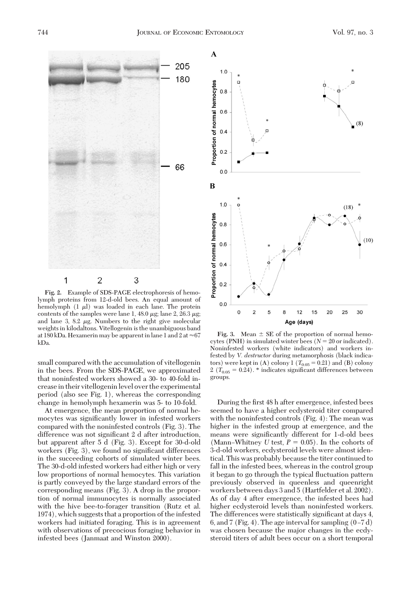

**Fig. 2.** Example of SDS-PAGE electrophoresis of hemolymph proteins from 12-d-old bees. An equal amount of hemolymph  $(1 \mu l)$  was loaded in each lane. The protein contents of the samples were lane 1, 48.0  $\mu$ g; lane 2, 26.3  $\mu$ g; and lane 3, 8.2  $\mu$ g. Numbers to the right give molecular weights in kilodaltons. Vitellogenin is the unambiguous band at 180 kDa. Hexamerin may be apparent in lane 1 and 2 at  $\approx 67$ kDa.

small compared with the accumulation of vitellogenin in the bees. From the SDS-PAGE, we approximated that noninfested workers showed a 30- to 40-fold increasein their vitellogeninlevel over the experimental period (also see Fig. 1), whereas the corresponding change in hemolymph hexamerin was 5- to 10-fold.

At emergence, the mean proportion of normal hemocytes was significantly lower in infested workers compared with the noninfested controls (Fig. 3). The difference was not significant 2 d after introduction, but apparent after 5 d (Fig. 3). Except for 30-d-old workers (Fig. 3), we found no significant differences in the succeeding cohorts of simulated winter bees. The 30-d-old infested workers had either high or very low proportions of normal hemocytes. This variation is partly conveyed by the large standard errors of the corresponding means (Fig. 3). A drop in the proportion of normal immunocytes is normally associated with the hive bee-to-forager transition (Rutz et al. 1974), which suggests that a proportion of the infested workers had initiated foraging. This is in agreement with observations of precocious foraging behavior in infested bees (Janmaat and Winston 2000).



**Fig. 3.** Mean  $\pm$  SE of the proportion of normal hemocytes (PNH) in simulated winter bees  $(N = 20 \text{ or indicated})$ . Noninfested workers (white indicators) and workers infested by *V. destructor* during metamorphosis (black indicators) were kept in  $(A)$  colony 1  $(T_{0.05} = 0.21)$  and  $(B)$  colony  $2 (T_{0.05} = 0.24)$ . \* indicates significant differences between groups.

During the first 48 h after emergence, infested bees seemed to have a higher ecdysteroid titer compared with the noninfested controls (Fig. 4): The mean was higher in the infested group at emergence, and the means were significantly different for 1-d-old bees (Mann–Whitney *U* test,  $P = 0.05$ ). In the cohorts of 3-d-old workers, ecdysteroid levels were almost identical. This was probably because the titer continued to fall in the infested bees, whereas in the control group it began to go through the typical ßuctuation pattern previously observed in queenless and queenright workers between days 3 and 5 (Hartfelder et al. 2002). As of day 4 after emergence, the infested bees had higher ecdysteroid levels than noninfested workers. The differences were statistically significant at days 4, 6, and 7 (Fig. 4). The age interval for sampling  $(0-7 d)$ was chosen because the major changes in the ecdysteroid titers of adult bees occur on a short temporal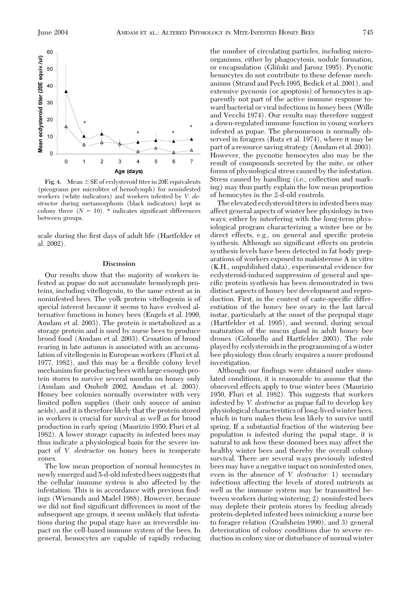

**Fig. 4.** Mean  $\pm$  SE of ecdysteroid titer in 20E equivalents (picograms per microliter of hemolymph) for noninfested workers (white indicators) and workers infested by *V. destructor* during metamorphosis (black indicators) kept in colony three  $(N = 10)$ . \* indicates significant differences between groups.

scale during the first days of adult life (Hartfelder et al. 2002).

# **Discussion**

Our results show that the majority of workers infested as pupae do not accumulate hemolymph proteins, including vitellogenin, to the same extent as in noninfested bees. The yolk protein vitellogenin is of special interest because it seems to have evolved alternative functions in honey bees (Engels et al. 1990, Amdam et al. 2003). The protein is metabolized as a storage protein and is used by nurse bees to produce brood food (Amdam et al. 2003). Cessation of brood rearing in late autumn is associated with an accumulation of vitellogenin in European workers (Fluri et al. 1977, 1982), and this may be a ßexible colony level mechanism for producing bees with large enough protein stores to survive several months on honey only (Amdam and Omholt 2002, Amdam et al. 2003). Honey bee colonies normally overwinter with very limited pollen supplies (their only source of amino acids), and it is therefore likely that the protein stored in workers is crucial for survival as well as for brood production in early spring (Maurizio 1950, Fluri et al. 1982). A lower storage capacity in infested bees may thus indicate a physiological basis for the severe impact of *V. destructor* on honey bees in temperate zones.

The low mean proportion of normal hemocytes in newly emerged and 5-d-old infested bees suggests that the cellular immune system is also affected by the infestation. This is in accordance with previous findings (Wienands and Madel 1988). However, because we did not find significant differences in most of the subsequent age groups, it seems unlikely that infestations during the pupal stage have an irreversible impact on the cell-based immune system of the bees. In general, hemocytes are capable of rapidly reducing the number of circulating particles, including microorganisms, either by phagocytosis, nodule formation, or encapsulation (Gliñski and Jarosz 1995). Pycnotic hemocytes do not contribute to these defense mechanisms (Strand and Pech 1995, Bedick et al. 2001), and extensive pycnosis (or apoptosis) of hemocytes is apparently not part of the active immune response toward bacterial or viral infections in honey bees (Wille and Vecchi 1974). Our results may therefore suggest a down-regulated immune function in young workers infested as pupae. The phenomenon is normally observed in foragers (Rutz et al. 1974), where it may be part of a resource saving strategy (Amdam et al. 2003). However, the pycnotic hemocytes also may be the result of compounds secreted by the mite, or other forms of physiological stress caused by the infestation. Stress caused by handling (i.e., collection and marking) may thus partly explain the low mean proportion of hemocytes in the 2-d-old controls.

The elevated ecdysteroid titers in infested bees may affect general aspects of winter bee physiology in two ways; either by interfering with the long-term physiological program characterizing a winter bee or by direct effects, e.g., on general and specific protein synthesis. Although no significant effects on protein synthesis levels have been detected in fat body preparations of workers exposed to makisterone A in vitro (K.H., unpublished data), experimental evidence for ecdysteroid-induced suppression of general and specific protein synthesis has been demonstrated in two distinct aspects of honey bee development and reproduction. First, in the context of caste-specific differentiation of the honey bee ovary in the last larval instar, particularly at the onset of the prepupal stage (Hartfelder et al. 1995), and second, during sexual maturation of the mucus gland in adult honey bee drones (Colonello and Hartfelder 2003). The role played by ecdysteroids in the programming of a winter bee physiology thus clearly requires a more profound investigation.

Although our findings were obtained under simulated conditions, it is reasonable to assume that the observed effects apply to true winter bees (Maurizio 1950, Fluri et al. 1982). This suggests that workers infested by *V. destructor* as pupae fail to develop key physiological characteristics of long-lived winter bees, which in turn makes them less likely to survive until spring. If a substantial fraction of the wintering bee population is infested during the pupal stage, it is natural to ask how these doomed bees may affect the healthy winter bees and thereby the overall colony survival. There are several ways previously infested bees may have a negative impact on noninfested ones, even in the absence of *V. destructor:* 1) secondary infections affecting the levels of stored nutrients as well as the immune system may be transmitted between workers during wintering; 2) noninfested bees may deplete their protein stores by feeding already protein-depleted infested bees mimicking a nurse bee to forager relation (Crailsheim 1990), and 3) general deterioration of colony conditions due to severe reduction in colony size or disturbance of normal winter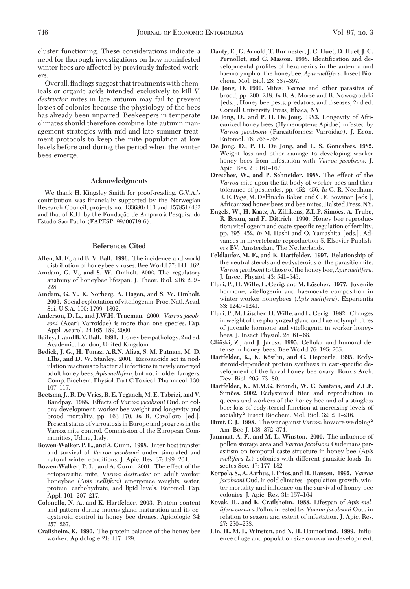cluster functioning. These considerations indicate a need for thorough investigations on how noninfested winter bees are affected by previously infested workers.

Overall, findings suggest that treatments with chemicals or organic acids intended exclusively to kill *V. destructor* mites in late autumn may fail to prevent losses of colonies because the physiology of the bees has already been impaired. Beekeepers in temperate climates should therefore combine late autumn management strategies with mid and late summer treatment protocols to keep the mite population at low levels before and during the period when the winter bees emerge.

### **Acknowledgments**

We thank H. Kingsley Smith for proof-reading. G.V.A.'s contribution was financially supported by the Norwegian Research Council, projects no. 133680/110 and 157851/432 and that of K.H. by the Fundação de Amparo à Pesquisa do Estado São Paulo (FAPESP: 99/00719-6).

#### **References Cited**

- **Allen, M. F., and B. V. Ball. 1996.** The incidence and world distribution of honeybee viruses. Bee World 77: 141-162.
- **Amdam, G. V., and S. W. Omholt. 2002.** The regulatory anatomy of honeybee lifespan. J. Theor. Biol. 216: 209-228.
- **Amdam, G. V., K. Norberg, A. Hagen, and S. W. Omholt. 2003.** Social exploitation of vitellogenin. Proc. Natl. Acad. Sci. U.S.A. 100: 1799-1802.
- **Anderson, D. L., and J.W.H. Trueman. 2000.** *Varroa jacobsoni* (Acari: Varroidae) is more than one species. Exp. Appl. Acarol. 24:165-189, 2000.
- **Bailey, L. and B. V. Ball. 1991.** Honey bee pathology, 2nd ed. Academic, London, United Kingdom.
- **Bedick, J. G., H. Tunaz, A.R.N. Aliza, S. M. Putnam, M. D. Ellis, and D. W. Stanley. 2001.** Eicosanoids act in nodulation reactions to bacterial infections in newly emerged adult honey bees, *Apis mellifera*, but not in older faragers. Comp. Biochem. Physiol. Part C Toxicol. Pharmacol. 130: 107–117.
- **Beetsma, J., R. De Vries, B. E. Yeganeh, M. E. Tabrizi, and V. Bandpay. 1988.** Effects of *Varroa jacobsoni* Oud. on colony development, worker bee weight and longevity and brood mortality, pp. 163Ð170. *In* R. Cavalloro [ed.], Present status of varroatosis in Europe and progress in the Varroa mite control. Commission of the European Communities, Udine, Italy.
- **Bowen-Walker, P. L., and A. Gunn. 1998.** Inter-host transfer and survival of *Varroa jacobsoni* under simulated and natural winter conditions. J. Apic. Res. 37: 199-204.
- **Bowen-Walker, P. L., and A. Gunn. 2001.** The effect of the ectoparasitic mite, *Varroa destructor* on adult worker honeybee (*Apis mellifera*) emergence weights, water, protein, carbohydrate, and lipid levels. Entomol. Exp. Appl. 101: 207-217.
- **Colonello, N. A., and K. Hartfelder. 2003.** Protein content and pattern during mucus gland maturation and its ecdysteroid control in honey bee drones. Apidologie 34: 257-267.
- **Crailsheim, K. 1990.** The protein balance of the honey bee worker. Apidologie 21: 417-429.
- **Danty, E., G. Arnold, T. Burmester, J. C. Huet, D. Huet, J. C.** Pernollet, and C. Masson. 1998. Identification and developmental profiles of hexamerins in the antenna and haemolymph of the honeybee, *Apis mellifera.* Insect Biochem. Mol. Biol. 28: 387-397.
- **De Jong, D. 1990.** Mites: *Varroa* and other parasites of brood, pp. 200-218. *In* R. A. Morse and R. Nowogrodzki [eds.], Honey bee pests, predators, and diseases, 2nd ed. Cornell University Press, Ithaca, NY.
- **De Jong, D., and P. H. De Jong. 1983.** Longevity of Africanized honey bees (Hymenoptera: Apidae) infested by *Varroa jacobsoni* (Parasitiformes: Varroidae). J. Econ. Entomol. 76: 766-768.
- **De Jong, D., P. H. De Jong, and L. S. Goncalves. 1982.** Weight loss and other damage to developing worker honey bees from infestation with *Varroa jacobsoni.* J. Apic. Res. 21: 161-167.
- **Drescher, W., and P. Schneider. 1988.** The effect of the *Varroa* mite upon the fat body of worker bees and their tolerance of pesticides, pp. 452-456. In G. R. Needham, R. E. Page, M. Delfinado-Baker, and C. E. Bowman [eds.], Africanized honey bees and bee mites, Halsted Press, NY.
- **Engels, W., H. Kaatz, A. Zillikens, Z.L.P. Simo˜es, A. Trube, R. Braun, and F. Dittrich. 1990.** Honey bee reproduction: vitellogenin and caste-specific regulation of fertility, pp. 395–452. *In* M. Hashi and O. Yamashita [eds.], Advances in invertebrate reproduction 5. Elsevier Publishers BV, Amsterdam, The Netherlands.
- **Feldlaufer, M. F., and K. Hartfelder. 1997.** Relationship of the neutral sterols and ecdysteroids of the parasitic mite, *Varroa jacobsoni*to those of the honey bee,*Apis mellifera.* J. Insect Physiol. 43: 541-545.
- Fluri, P., H. Wille, L. Gerig, and M. Lüscher. 1977. Juvenile hormone, vitellogenin and haemocyte composition in winter worker honeybees (*Apis mellifera*). Experientia 33: 1240-1241.
- **Fluri, P., M. Lu¨scher, H.Wille, and L. Gerig. 1982.** Changes in weight of the pharyngeal gland and haemolymph titres of juvenile hormone and vitellogenin in worker honeybees. J. Insect Physiol. 28: 61-68.
- **Glin˜ski, Z., and J. Jarosz. 1995.** Cellular and humoral defense in honey bees. Bee World 76: 195: 205.
- **Hartfelder, K., K. Köstlin, and C. Hepperle. 1995.** Ecdysteroid-dependent protein synthesis in cast-specific development of the larval honey bee ovary. Roux's Arch. Dev. Biol. 205: 73-80.
- **Hartfelder, K., M.M.G. Bitondi, W. C. Santana, and Z.L.P.** Simões. 2002. Ecdysteroid titer and reproduction in queens and workers of the honey bee and of a stingless bee: loss of ecdysteroid function at increasing levels of sociality? Insect Biochem. Mol. Biol. 32: 211-216.
- **Hunt, G. J. 1998.** The war against *Varroa:* how are we doing? Am. Bee J. 138: 372-374.
- Janmaat, A. F., and M. L. Winston. 2000. The influence of pollen storage area and *Varroa jacobsoni* Oudemans parasitism on temporal caste structure in honey bee (*Apis mellifera L.*) colonies with different parasitic loads. Insectes Soc. 47: 177-182.
- **Korpela, S., A. Aarhus, I. Fries, and H. Hansen. 1992.** *Varroa jacobsoni* Oud. in cold climates - population-growth, winter mortality and inßuence on the survival of honey-bee colonies. J. Apic. Res. 31: 157-164.
- **Kovak, H., and K. Crailsheim. 1988.** Lifespan of *Apis mellifera carnica* Pollm. infested by *Varroa jacobsoni* Oud. in relation to season and extent of infestation. J. Apic. Res. 27: 230–238.
- **Lin, H., M. L. Winston, and N. H. Haunerland. 1999.** Inßuence of age and population size on ovarian development,